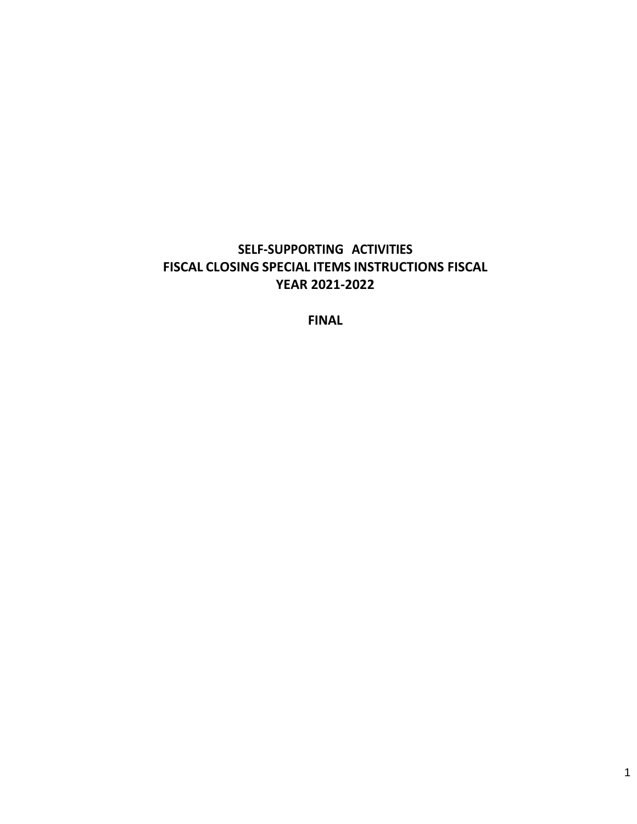# **SELF-SUPPORTING ACTIVITIES FISCAL CLOSING SPECIAL ITEMS INSTRUCTIONS FISCAL YEAR 2021-2022**

**FINAL**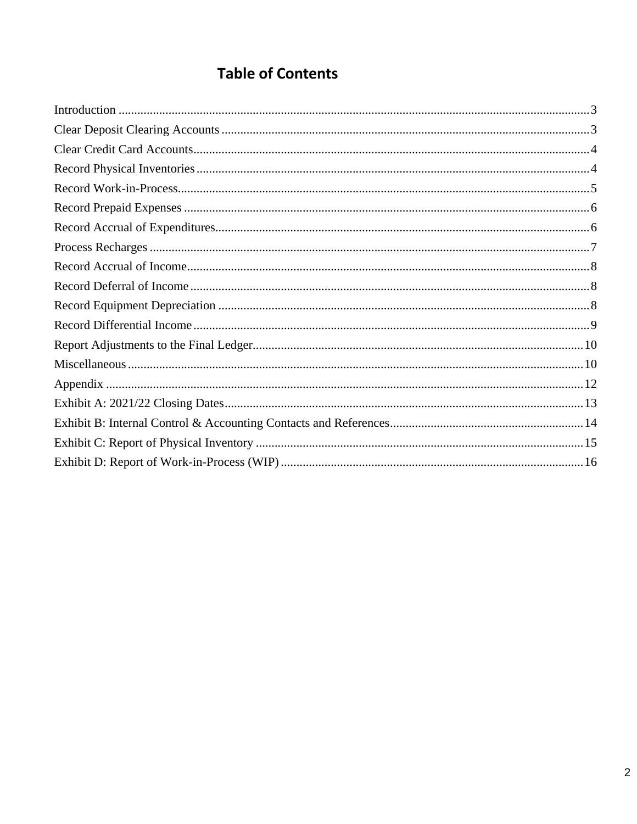# **Table of Contents**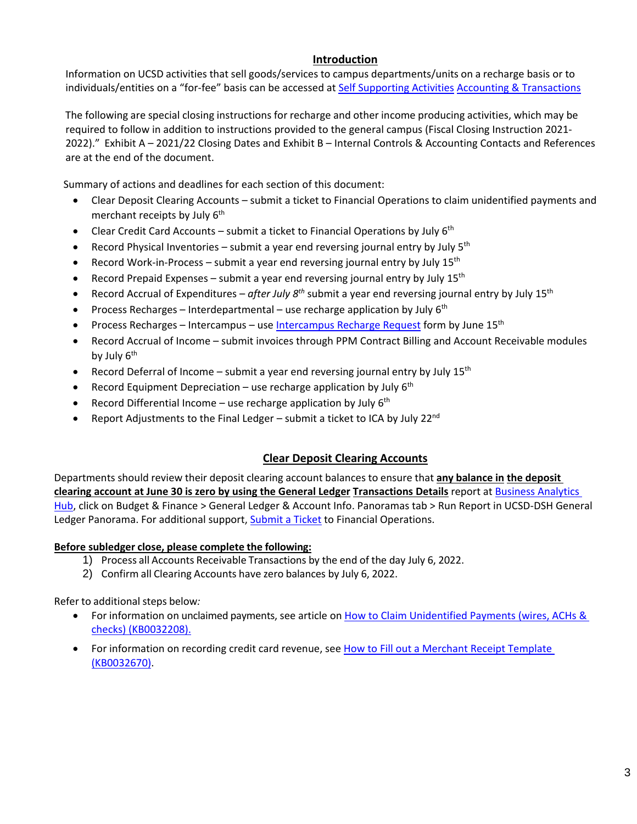#### **Introduction**

<span id="page-2-0"></span>Information on UCSD activities that sell goods/services to campus departments/units on a recharge basis or to individuals/entities on a "for-fee" basis can be accessed a[t Self Supporting Activities](https://blink.ucsd.edu/finance/accounting/SSA/) [Accounting & Transactions](https://blink.ucsd.edu/finance/accounting/SSA/)

The following are special closing instructions for recharge and other income producing activities, which may be required to follow in addition to instructions provided to the general campus (Fiscal Closing Instruction 2021- 2022)." Exhibit A – 2021/22 Closing Dates and Exhibit B – Internal Controls & Accounting Contacts and References are at the end of the document.

Summary of actions and deadlines for each section of this document:

- Clear Deposit Clearing Accounts submit a ticket to Financial Operations to claim unidentified payments and merchant receipts by July  $6<sup>th</sup>$
- Clear Credit Card Accounts submit a ticket to Financial Operations by July  $6<sup>th</sup>$
- Record Physical Inventories submit a year end reversing journal entry by July  $5<sup>th</sup>$
- Record Work-in-Process submit a year end reversing journal entry by July  $15<sup>th</sup>$
- Record Prepaid Expenses submit a year end reversing journal entry by July  $15<sup>th</sup>$
- Record Accrual of Expenditures *after July 8th* submit a year end reversing journal entry by July 15th
- Process Recharges Interdepartmental use recharge application by July  $6<sup>th</sup>$
- Process Recharges Intercampus use [Intercampus Recharge Request](https://support.ucsd.edu/services?id=sc_cat_item&sys_id=caea8c9cdbb1985006037a131f96191b) form by June 15<sup>th</sup>
- Record Accrual of Income submit invoices through PPM Contract Billing and Account Receivable modules by July  $6<sup>th</sup>$
- Record Deferral of Income submit a year end reversing journal entry by July  $15<sup>th</sup>$
- Record Equipment Depreciation use recharge application by July  $6<sup>th</sup>$
- Record Differential Income use recharge application by July  $6<sup>th</sup>$
- Report Adjustments to the Final Ledger submit a ticket to ICA by July 22 $^{nd}$

## **Clear Deposit Clearing Accounts**

<span id="page-2-1"></span>Departments should review their deposit clearing account balances to ensure that **any balance in the deposit clearing account at June 30 is zero by using the General Ledger Transactions Details** report at [Business Analytics](https://bah.ucsd.edu/)  [Hub,](https://bah.ucsd.edu/) click on Budget & Finance > General Ledger & Account Info. Panoramas tab > Run Report in UCSD-DSH General Ledger Panorama. For additional support[, Submit a Ticket](https://support.ucsd.edu/finance?id=sc_cat_item&sys_id=48a60e85dbbb8014dbd6f2b6af961999) to Financial Operations.

#### **Before subledger close, please complete the following:**

- 1) Process all Accounts Receivable Transactions by the end of the day July 6, 2022.
- 2) Confirm all Clearing Accounts have zero balances by July 6, 2022.

Refer to additional steps below*:* 

- For information on unclaimed payments, see article on [How to Claim Unidentified Payments \(wires, ACHs &](https://support.ucsd.edu/finance?id=kb_article_view&sys_kb_id=33b5a3471b9ec91048e9cae5604bcb02) [checks\) \(KB0032208\).](https://support.ucsd.edu/finance?id=kb_article_view&sys_kb_id=33b5a3471b9ec91048e9cae5604bcb02)
- <span id="page-2-2"></span>• For information on recording credit card revenue, see [How to Fill out a Merchant Receipt Template](https://support.ucsd.edu/finance?id=kb_article_view&sys_kb_id=378cd92d1bdac550506f64e8624bcbaa&sysparm_article=KB0032670) [\(KB0032670\).](https://support.ucsd.edu/finance?id=kb_article_view&sys_kb_id=378cd92d1bdac550506f64e8624bcbaa&sysparm_article=KB0032670)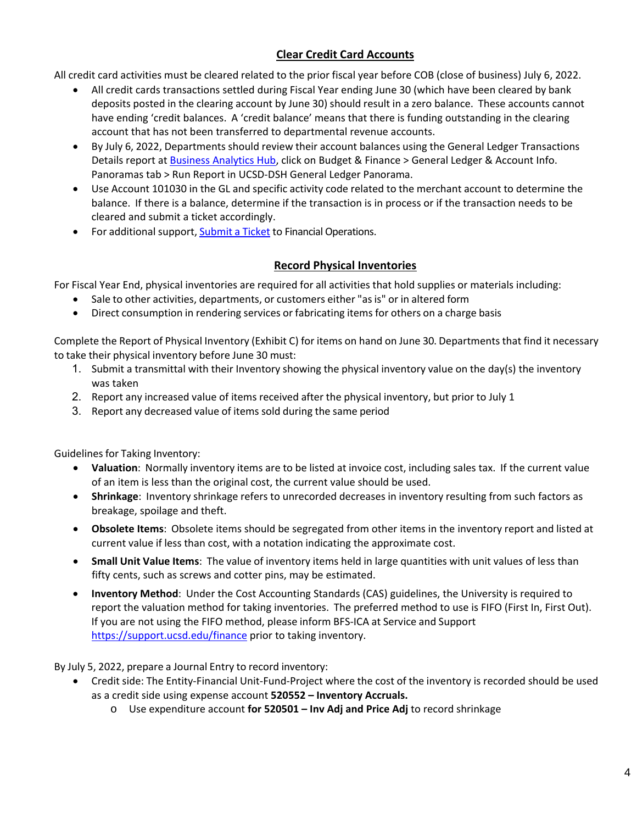## **Clear Credit Card Accounts**

All credit card activities must be cleared related to the prior fiscal year before COB (close of business) July 6, 2022.

- All credit cards transactions settled during Fiscal Year ending June 30 (which have been cleared by bank deposits posted in the clearing account by June 30) should result in a zero balance. These accounts cannot have ending 'credit balances. A 'credit balance' means that there is funding outstanding in the clearing account that has not been transferred to departmental revenue accounts.
- By July 6, 2022, Departments should review their account balances using the General Ledger Transactions Details report at [Business Analytics Hub,](https://bah.ucsd.edu/) click on Budget & Finance > General Ledger & Account Info. Panoramas tab > Run Report in UCSD-DSH General Ledger Panorama.
- Use Account 101030 in the GL and specific activity code related to the merchant account to determine the balance. If there is a balance, determine if the transaction is in process or if the transaction needs to be cleared and submit a ticket accordingly.
- For additional support, [Submit a Ticket](https://support.ucsd.edu/finance?id=sc_cat_item&sys_id=48a60e85dbbb8014dbd6f2b6af961999) to Financial Operations.

## **Record Physical Inventories**

<span id="page-3-0"></span>For Fiscal Year End, physical inventories are required for all activities that hold supplies or materials including:

- Sale to other activities, departments, or customers either "as is" or in altered form
- Direct consumption in rendering services or fabricating items for others on a charge basis

Complete the Report of Physical Inventory (Exhibit C) for items on hand on June 30. Departments that find it necessary to take their physical inventory before June 30 must:

- 1. Submit a transmittal with their Inventory showing the physical inventory value on the day(s) the inventory was taken
- 2. Report any increased value of items received after the physical inventory, but prior to July 1
- 3. Report any decreased value of items sold during the same period

Guidelines for Taking Inventory:

- **Valuation**: Normally inventory items are to be listed at invoice cost, including sales tax. If the current value of an item is less than the original cost, the current value should be used.
- **Shrinkage**: Inventory shrinkage refers to unrecorded decreases in inventory resulting from such factors as breakage, spoilage and theft.
- **Obsolete Items**: Obsolete items should be segregated from other items in the inventory report and listed at current value if less than cost, with a notation indicating the approximate cost.
- **Small Unit Value Items**: The value of inventory items held in large quantities with unit values of less than fifty cents, such as screws and cotter pins, may be estimated.
- **Inventory Method**: Under the Cost Accounting Standards (CAS) guidelines, the University is required to report the valuation method for taking inventories. The preferred method to use is FIFO (First In, First Out). If you are not using the FIFO method, please inform BFS-ICA at Service and Support <https://support.ucsd.edu/finance> prior to taking inventory.

By July 5, 2022, prepare a Journal Entry to record inventory:

- Credit side: The Entity-Financial Unit-Fund-Project where the cost of the inventory is recorded should be used as a credit side using expense account **520552 – Inventory Accruals.**
	- o Use expenditure account **for 520501 Inv Adj and Price Adj** to record shrinkage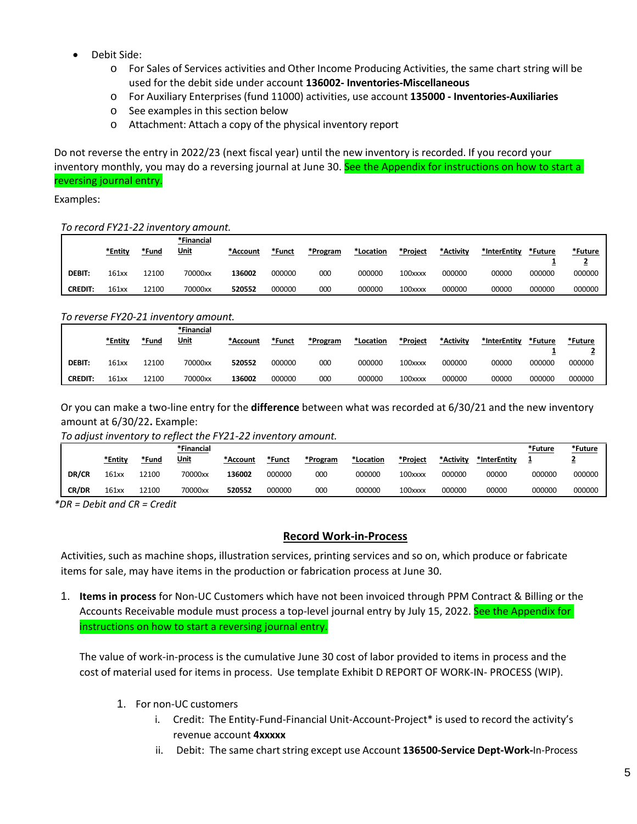- Debit Side:
	- o For Sales of Services activities and Other Income Producing Activities, the same chart string will be used for the debit side under account **136002- Inventories-Miscellaneous**
	- o For Auxiliary Enterprises (fund 11000) activities, use account **135000 Inventories-Auxiliaries**
	- o See examples in this section below
	- o Attachment: Attach a copy of the physical inventory report

Do not reverse the entry in 2022/23 (next fiscal year) until the new inventory is recorded. If you record your inventory monthly, you may do a reversing journal at June 30. See the Appendix for instructions on how to start a reversing journal entry.

Examples:

#### *To record FY21-22 inventory amount.*

|                | *Entity | *Fund | *Financial<br><u>Unit</u> | *Account | *Funct | *Program | *Location | *Project | *Activity | *InterEntity | *Future | *Future |
|----------------|---------|-------|---------------------------|----------|--------|----------|-----------|----------|-----------|--------------|---------|---------|
| <b>DEBIT:</b>  | 161xx   | L2100 | 70000xx                   | 136002   | 000000 | 000      | 000000    | 100xxxx  | 000000    | 00000        | 000000  | 000000  |
| <b>CREDIT:</b> | 161xx   | 12100 | 70000xx                   | 520552   | 000000 | 000      | 000000    | 100xxxx  | 000000    | 00000        | 000000  | 000000  |

#### *To reverse FY20-21 inventory amount.*

|                | *Entity | *Fund | *Financial<br><u>Unit</u> | *Account | *Funct | *Program | *Location | *Project | *Activity | *InterEntity* | *Future | *Future |
|----------------|---------|-------|---------------------------|----------|--------|----------|-----------|----------|-----------|---------------|---------|---------|
| <b>DEBIT:</b>  | 161xx   | 12100 | 70000xx                   | 520552   | 000000 | 000      | 000000    | 100xxxx  | 000000    | 00000         | 000000  | 000000  |
| <b>CREDIT:</b> | 161xx   | 12100 | 70000xx                   | 136002   | 000000 | 000      | 000000    | 100xxxx  | 000000    | 00000         | 000000  | 000000  |

Or you can make a two-line entry for the **difference** between what was recorded at 6/30/21 and the new inventory amount at 6/30/22**.** Example:

#### *To adjust inventory to reflect the FY21-22 inventory amount.*

|       |         |       | *Financial  |          |        |          |           |          |           |              | *Future | <u>*Future</u> |
|-------|---------|-------|-------------|----------|--------|----------|-----------|----------|-----------|--------------|---------|----------------|
|       | *Entity | *Fund | <u>Unit</u> | *Account | *Funct | *Program | *Location | *Project | *Activity | *InterEntity |         | -              |
| DR/CR | 161xx   | 12100 | 70000xx     | 136002   | 000000 | 000      | 000000    | 100xxxx  | 000000    | 00000        | 000000  | 000000         |
| CR/DR | 161xx   | 12100 | 70000xx     | 520552   | 000000 | 000      | 000000    | 100xxxx  | 000000    | 00000        | 000000  | 000000         |

<span id="page-4-0"></span>*\*DR = Debit and CR = Credit*

#### **Record Work-in-Process**

Activities, such as machine shops, illustration services, printing services and so on, which produce or fabricate items for sale, may have items in the production or fabrication process at June 30.

1. **Items in process** for Non-UC Customers which have not been invoiced through PPM Contract & Billing or the Accounts Receivable module must process a top-level journal entry by July 15, 2022. See the Appendix for instructions on how to start a reversing journal entry.

The value of work-in-process is the cumulative June 30 cost of labor provided to items in process and the cost of material used for items in process. Use template Exhibit D REPORT OF WORK-IN- PROCESS (WIP).

- 1. For non-UC customers
	- i. Credit: The Entity-Fund-Financial Unit-Account-Project\* is used to record the activity's revenue account **4xxxxx**
	- ii. Debit: The same chart string except use Account 136500-Service Dept-Work-In-Process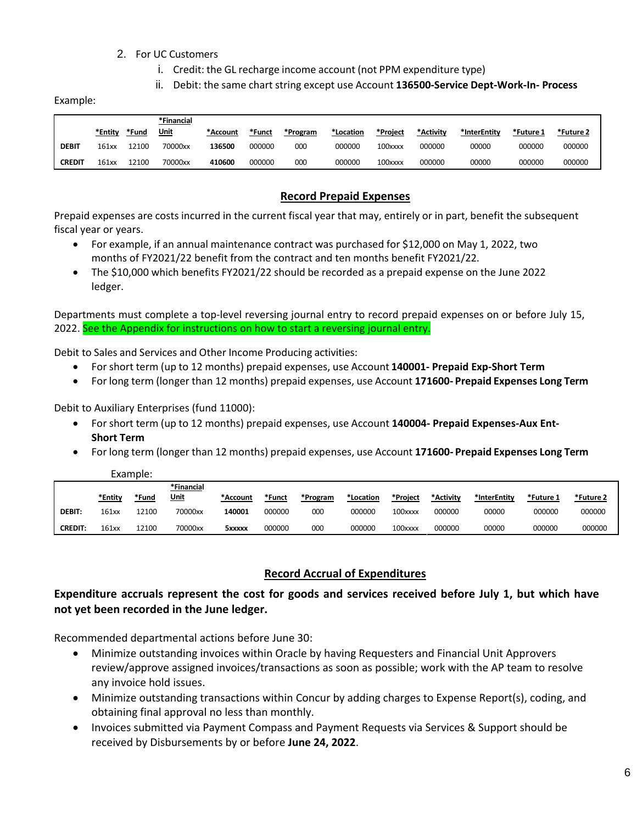#### 2. For UC Customers

- i. Credit: the GL recharge income account (not PPM expenditure type)
- ii. Debit: the same chart string except use Account **136500-Service Dept-Work-In- Process**

Example:

|               |         |       | *Financial  |          |        |          |           |          |           |              |           |           |
|---------------|---------|-------|-------------|----------|--------|----------|-----------|----------|-----------|--------------|-----------|-----------|
|               | *Entitv | *Fund | <u>Unit</u> | *Account | *Funct | *Program | *Location | *Project | *Activity | *InterEntity | *Future 1 | *Future 2 |
| <b>DEBIT</b>  | 161xx   | 2100  | 70000xx     | 136500   | 000000 | 000      | 000000    | 100xxxx  | 000000    | 00000        | 000000    | 000000    |
| <b>CREDIT</b> | 161xx   | 12100 | 70000xx     | 410600   | 000000 | 000      | 000000    | 100xxxx  | 000000    | 00000        | 000000    | 000000    |

#### **Record Prepaid Expenses**

<span id="page-5-0"></span>Prepaid expenses are costs incurred in the current fiscal year that may, entirely or in part, benefit the subsequent fiscal year or years.

- For example, if an annual maintenance contract was purchased for \$12,000 on May 1, 2022, two months of FY2021/22 benefit from the contract and ten months benefit FY2021/22.
- The \$10,000 which benefits FY2021/22 should be recorded as a prepaid expense on the June 2022 ledger.

Departments must complete a top-level reversing journal entry to record prepaid expenses on or before July 15, 2022. See the Appendix for instructions on how to start a reversing journal entry.

Debit to Sales and Services and Other Income Producing activities:

- For short term (up to 12 months) prepaid expenses, use Account **140001- Prepaid Exp-Short Term**
- For long term (longer than 12 months) prepaid expenses, use Account **171600- Prepaid Expenses Long Term**

Debit to Auxiliary Enterprises (fund 11000):

- For short term (up to 12 months) prepaid expenses, use Account **140004- Prepaid Expenses-Aux Ent-Short Term**
- For long term (longer than 12 months) prepaid expenses, use Account **171600- Prepaid Expenses Long Term**

|                |         | Example: |             |               |        |          |           |          |           |              |           |           |
|----------------|---------|----------|-------------|---------------|--------|----------|-----------|----------|-----------|--------------|-----------|-----------|
|                |         |          | *Financial  |               |        |          |           |          |           |              |           |           |
|                | *Entity | *Fund    | <u>Unit</u> | *Account      | *Funct | *Program | *Location | *Proiect | *Activity | *InterEntity | *Future 1 | *Future 2 |
| <b>DEBIT:</b>  | 161xx   | 12100    | 70000xx     | 140001        | 000000 | 000      | 000000    | 100xxxx  | 000000    | 00000        | 000000    | 000000    |
| <b>CREDIT:</b> | 161xx   | 12100    | 70000xx     | <b>5xxxxx</b> | 000000 | 000      | 000000    | 100xxxx  | 000000    | 00000        | 000000    | 000000    |

#### **Record Accrual of Expenditures**

#### <span id="page-5-1"></span>**Expenditure accruals represent the cost for goods and services received before July 1, but which have not yet been recorded in the June ledger.**

Recommended departmental actions before June 30:

- Minimize outstanding invoices within Oracle by having Requesters and Financial Unit Approvers review/approve assigned invoices/transactions as soon as possible; work with the AP team to resolve any invoice hold issues.
- Minimize outstanding transactions within Concur by adding charges to Expense Report(s), coding, and obtaining final approval no less than monthly.
- Invoices submitted via Payment Compass and Payment Requests via Services & Support should be received by Disbursements by or before **June 24, 2022**.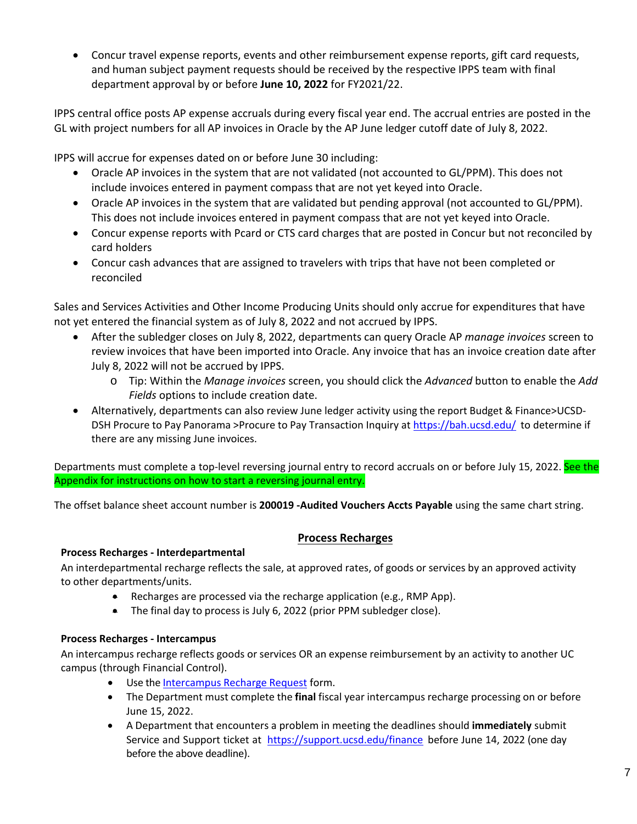• Concur travel expense reports, events and other reimbursement expense reports, gift card requests, and human subject payment requests should be received by the respective IPPS team with final department approval by or before **June 10, 2022** for FY2021/22.

IPPS central office posts AP expense accruals during every fiscal year end. The accrual entries are posted in the GL with project numbers for all AP invoices in Oracle by the AP June ledger cutoff date of July 8, 2022.

IPPS will accrue for expenses dated on or before June 30 including:

- Oracle AP invoices in the system that are not validated (not accounted to GL/PPM). This does not include invoices entered in payment compass that are not yet keyed into Oracle.
- Oracle AP invoices in the system that are validated but pending approval (not accounted to GL/PPM). This does not include invoices entered in payment compass that are not yet keyed into Oracle.
- Concur expense reports with Pcard or CTS card charges that are posted in Concur but not reconciled by card holders
- Concur cash advances that are assigned to travelers with trips that have not been completed or reconciled

Sales and Services Activities and Other Income Producing Units should only accrue for expenditures that have not yet entered the financial system as of July 8, 2022 and not accrued by IPPS.

- After the subledger closes on July 8, 2022, departments can query Oracle AP *manage invoices* screen to review invoices that have been imported into Oracle. Any invoice that has an invoice creation date after July 8, 2022 will not be accrued by IPPS.
	- o Tip: Within the *Manage invoices* screen, you should click the *Advanced* button to enable the *Add Fields* options to include creation date.
- Alternatively, departments can also review June ledger activity using the report Budget & Finance>UCSD-DSH Procure to Pay Panorama >Procure to Pay Transaction Inquiry at<https://bah.ucsd.edu/> to determine if there are any missing June invoices.

Departments must complete a top-level reversing journal entry to record accruals on or before July 15, 2022. See the Appendix for instructions on how to start a reversing journal entry.

The offset balance sheet account number is **200019 -Audited Vouchers Accts Payable** using the same chart string.

#### **Process Recharges**

#### <span id="page-6-0"></span>**Process Recharges - Interdepartmental**

An interdepartmental recharge reflects the sale, at approved rates, of goods or services by an approved activity to other departments/units.

- Recharges are processed via the recharge application (e.g., RMP App).
- The final day to process is July 6, 2022 (prior PPM subledger close).

#### **Process Recharges - Intercampus**

An intercampus recharge reflects goods or services OR an expense reimbursement by an activity to another UC campus (through Financial Control).

- Use th[e Intercampus](https://support.ucsd.edu/services?id=sc_cat_item&sys_id=caea8c9cdbb1985006037a131f96191b) Recharge Request form.
- The Department must complete the **final** fiscal year intercampus recharge processing on or before June 15, 2022.
- A Department that encounters a problem in meeting the deadlines should **immediately** submit Service and Support ticket at <https://support.ucsd.edu/finance> before June 14, 2022 (one day before the above deadline).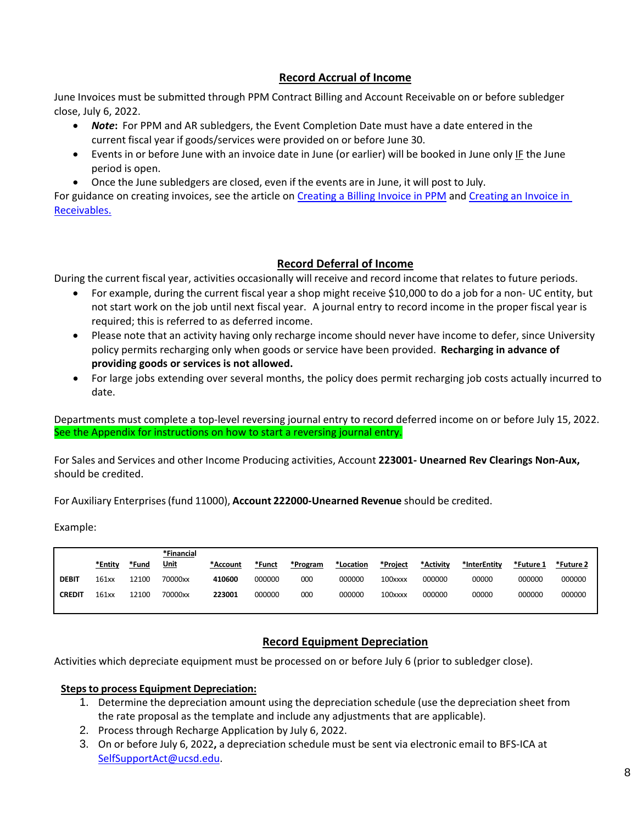#### **Record Accrual of Income**

<span id="page-7-0"></span>June Invoices must be submitted through PPM Contract Billing and Account Receivable on or before subledger close, July 6, 2022.

- *Note***:** For PPM and AR subledgers, the Event Completion Date must have a date entered in the current fiscal year if goods/services were provided on or before June 30.
- Events in or before June with an invoice date in June (or earlier) will be booked in June only IF the June period is open.
- Once the June subledgers are closed, even if the events are in June, it will post to July.

For guidance on creating invoices, see the article on [Creating a Billing Invoice](https://support.ucsd.edu/services?id=kb_article_view&sys_kb_id=b072a3561b708dd0b8d255b5604bcb83&sysparm_article=KB0032793) in PPM and Creating an Invoice in [Receivables.](https://support.ucsd.edu/services?id=kb_article_view&sys_kb_id=77cc0d761bf48514b8d255b5604bcbaf&sysparm_article=KB0032814)

## **Record Deferral of Income**

<span id="page-7-1"></span>During the current fiscal year, activities occasionally will receive and record income that relates to future periods.

- For example, during the current fiscal year a shop might receive \$10,000 to do a job for a non- UC entity, but not start work on the job until next fiscal year. A journal entry to record income in the proper fiscal year is required; this is referred to as deferred income.
- Please note that an activity having only recharge income should never have income to defer, since University policy permits recharging only when goods or service have been provided. **Recharging in advance of providing goods or services is not allowed.**
- For large jobs extending over several months, the policy does permit recharging job costs actually incurred to date.

Departments must complete a top-level reversing journal entry to record deferred income on or before July 15, 2022. See the Appendix for instructions on how to start a reversing journal entry.

For Sales and Services and other Income Producing activities, Account **223001- Unearned Rev Clearings Non-Aux,** should be credited.

For Auxiliary Enterprises(fund 11000), **Account 222000-Unearned Revenue** should be credited.

Example:

|               | *Entity | *Fund | *Financial<br><u>Unit</u> | *Account | *Funct | *Program | *Location | *Project | *Activity | *InterEntity | *Future 1 | *Future 2 |
|---------------|---------|-------|---------------------------|----------|--------|----------|-----------|----------|-----------|--------------|-----------|-----------|
| <b>DEBIT</b>  | 161xx   | 12100 | 70000xx                   | 410600   | 000000 | 000      | 000000    | 100xxxx  | 000000    | 00000        | 000000    | 000000    |
| <b>CREDIT</b> | 161xx   | 12100 | 70000xx                   | 223001   | 000000 | 000      | 000000    | 100xxxx  | 000000    | 00000        | 000000    | 000000    |

## <span id="page-7-2"></span>**Record Equipment Depreciation**

Activities which depreciate equipment must be processed on or before July 6 (prior to subledger close).

#### **Stepsto process Equipment Depreciation:**

- 1. Determine the depreciation amount using the depreciation schedule (use the depreciation sheet from the rate proposal as the template and include any adjustments that are applicable).
- 2. Process through Recharge Application by July 6, 2022.
- 3. On or before July 6, 2022**,** a depreciation schedule must be sent via electronic email to BFS-ICA at [SelfSupportAct@ucsd.edu.](mailto:SelfSupportAct@ucsd.edu)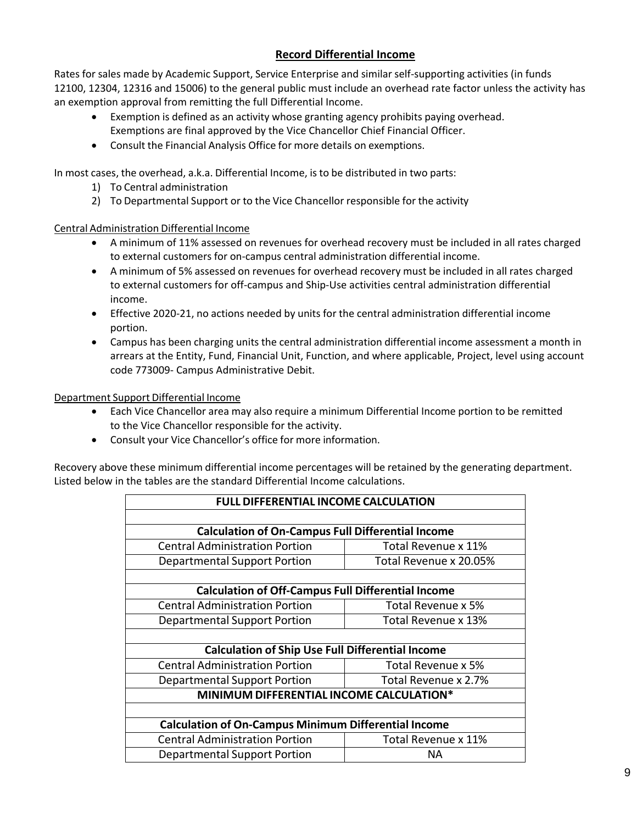## **Record Differential Income**

<span id="page-8-0"></span>Rates for sales made by Academic Support, Service Enterprise and similar self-supporting activities (in funds 12100, 12304, 12316 and 15006) to the general public must include an overhead rate factor unless the activity has an exemption approval from remitting the full Differential Income.

- Exemption is defined as an activity whose granting agency prohibits paying overhead.
	- Exemptions are final approved by the Vice Chancellor Chief Financial Officer.
- Consult the Financial Analysis Office for more details on exemptions.

In most cases, the overhead, a.k.a. Differential Income, is to be distributed in two parts:

- 1) To Central administration
- 2) To Departmental Support or to the Vice Chancellor responsible for the activity

#### Central Administration Differential Income

- A minimum of 11% assessed on revenues for overhead recovery must be included in all rates charged to external customers for on-campus central administration differential income.
- A minimum of 5% assessed on revenues for overhead recovery must be included in all rates charged to external customers for off-campus and Ship-Use activities central administration differential income.
- Effective 2020-21, no actions needed by units for the central administration differential income portion.
- Campus has been charging units the central administration differential income assessment a month in arrears at the Entity, Fund, Financial Unit, Function, and where applicable, Project, level using account code 773009- Campus Administrative Debit.

#### Department Support Differential Income

- Each Vice Chancellor area may also require a minimum Differential Income portion to be remitted to the Vice Chancellor responsible for the activity.
- Consult your Vice Chancellor's office for more information.

Recovery above these minimum differential income percentages will be retained by the generating department. Listed below in the tables are the standard Differential Income calculations.

|                                                             | <b>FULL DIFFERENTIAL INCOME CALCULATION</b> |  |  |  |  |  |
|-------------------------------------------------------------|---------------------------------------------|--|--|--|--|--|
|                                                             |                                             |  |  |  |  |  |
| <b>Calculation of On-Campus Full Differential Income</b>    |                                             |  |  |  |  |  |
| <b>Central Administration Portion</b>                       | Total Revenue x 11%                         |  |  |  |  |  |
| <b>Departmental Support Portion</b>                         | Total Revenue x 20.05%                      |  |  |  |  |  |
|                                                             |                                             |  |  |  |  |  |
| <b>Calculation of Off-Campus Full Differential Income</b>   |                                             |  |  |  |  |  |
| <b>Central Administration Portion</b>                       | Total Revenue x 5%                          |  |  |  |  |  |
| Total Revenue x 13%<br>Departmental Support Portion         |                                             |  |  |  |  |  |
|                                                             |                                             |  |  |  |  |  |
| <b>Calculation of Ship Use Full Differential Income</b>     |                                             |  |  |  |  |  |
| <b>Central Administration Portion</b>                       | Total Revenue x 5%                          |  |  |  |  |  |
| <b>Departmental Support Portion</b>                         | Total Revenue x 2.7%                        |  |  |  |  |  |
| MINIMUM DIFFERENTIAL INCOME CALCULATION*                    |                                             |  |  |  |  |  |
|                                                             |                                             |  |  |  |  |  |
| <b>Calculation of On-Campus Minimum Differential Income</b> |                                             |  |  |  |  |  |
| <b>Central Administration Portion</b>                       | Total Revenue x 11%                         |  |  |  |  |  |
| <b>Departmental Support Portion</b>                         | NA.                                         |  |  |  |  |  |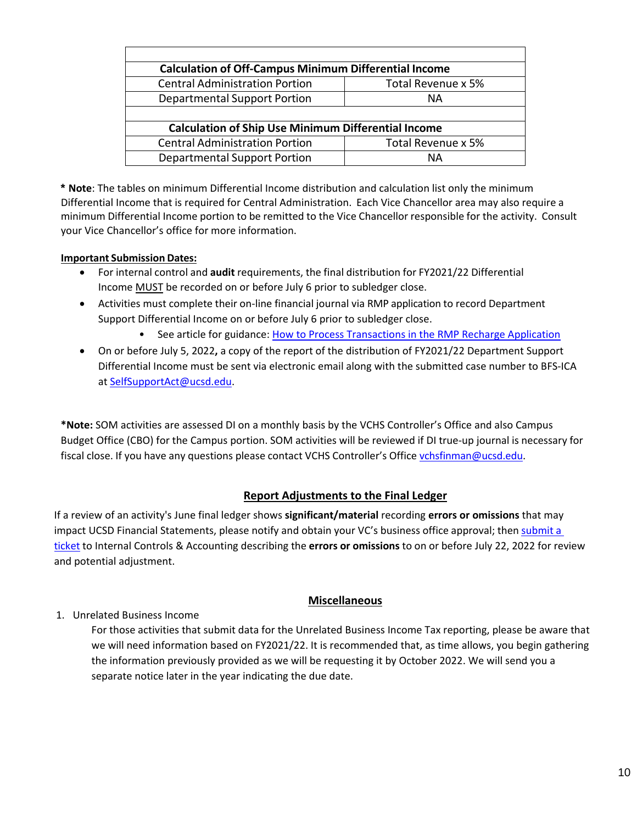| <b>Calculation of Off-Campus Minimum Differential Income</b> |                    |  |  |  |  |
|--------------------------------------------------------------|--------------------|--|--|--|--|
| <b>Central Administration Portion</b>                        | Total Revenue x 5% |  |  |  |  |
| <b>Departmental Support Portion</b>                          | ΝA                 |  |  |  |  |
|                                                              |                    |  |  |  |  |
| <b>Calculation of Ship Use Minimum Differential Income</b>   |                    |  |  |  |  |
| <b>Central Administration Portion</b>                        | Total Revenue x 5% |  |  |  |  |
| <b>Departmental Support Portion</b>                          | ΝA                 |  |  |  |  |

**\* Note**: The tables on minimum Differential Income distribution and calculation list only the minimum Differential Income that is required for Central Administration. Each Vice Chancellor area may also require a minimum Differential Income portion to be remitted to the Vice Chancellor responsible for the activity. Consult your Vice Chancellor's office for more information.

#### **Important Submission Dates:**

- For internal control and **audit** requirements, the final distribution for FY2021/22 Differential Income MUST be recorded on or before July 6 prior to subledger close.
- Activities must complete their on-line financial journal via RMP application to record Department Support Differential Income on or before July 6 prior to subledger close.
	- See article for guidance: [How to Process Transactions in the RMP Recharge Application](https://support.ucsd.edu/finance?id=kb_article_view&sys_kb_id=407385ab1bd10914b8d255b5604bcbe9)
- On or before July 5, 2022**,** a copy of the report of the distribution of FY2021/22 Department Support Differential Income must be sent via electronic email along with the submitted case number to BFS-ICA at [SelfSupportAct@ucsd.edu.](mailto:SelfSupportAct@ucsd.edu)

**\*Note:** SOM activities are assessed DI on a monthly basis by the VCHS Controller's Office and also Campus Budget Office (CBO) for the Campus portion. SOM activities will be reviewed if DI true-up journal is necessary for fiscal close. If you have any questions please contact VCHS Controller's Office [vchsfinman@ucsd.edu.](mailto:vchsfinman@ucsd.edu)

## **Report Adjustments to the Final Ledger**

<span id="page-9-0"></span>If a review of an activity's June final ledger shows **significant/material** recording **errors or omissions** that may impact UCSD Financial Statements, please notify and obtain your VC's business office approval; then [submit](https://support.ucsd.edu/finance?id=sc_cat_item&sys_id=48a60e85dbbb8014dbd6f2b6af961999) a [ticket](https://support.ucsd.edu/finance?id=sc_cat_item&sys_id=48a60e85dbbb8014dbd6f2b6af961999) to Internal Controls & Accounting describing the **errors or omissions** to on or before July 22, 2022 for review and potential adjustment.

## **Miscellaneous**

<span id="page-9-1"></span>1. Unrelated Business Income

For those activities that submit data for the Unrelated Business Income Tax reporting, please be aware that we will need information based on FY2021/22. It is recommended that, as time allows, you begin gathering the information previously provided as we will be requesting it by October 2022. We will send you a separate notice later in the year indicating the due date.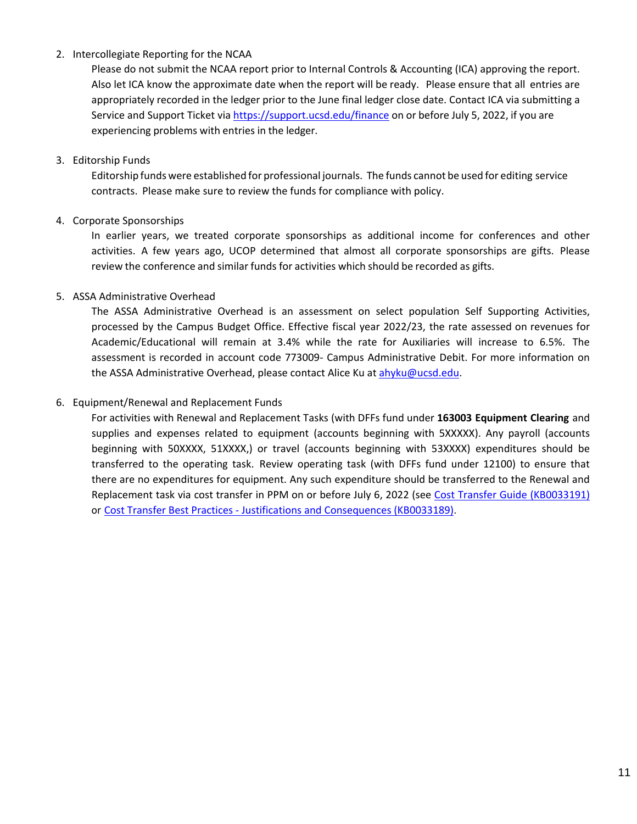#### 2. Intercollegiate Reporting for the NCAA

Please do not submit the NCAA report prior to Internal Controls & Accounting (ICA) approving the report. Also let ICA know the approximate date when the report will be ready. Please ensure that all entries are appropriately recorded in the ledger prior to the June final ledger close date. Contact ICA via submitting a Service and Support Ticket via<https://support.ucsd.edu/finance> on or before July 5, 2022, if you are experiencing problems with entries in the ledger.

#### 3. Editorship Funds

Editorship funds were established for professional journals. The funds cannot be used for editing service contracts. Please make sure to review the funds for compliance with policy.

#### 4. Corporate Sponsorships

In earlier years, we treated corporate sponsorships as additional income for conferences and other activities. A few years ago, UCOP determined that almost all corporate sponsorships are gifts. Please review the conference and similar funds for activities which should be recorded as gifts.

#### 5. ASSA Administrative Overhead

The ASSA Administrative Overhead is an assessment on select population Self Supporting Activities, processed by the Campus Budget Office. Effective fiscal year 2022/23, the rate assessed on revenues for Academic/Educational will remain at 3.4% while the rate for Auxiliaries will increase to 6.5%. The assessment is recorded in account code 773009- Campus Administrative Debit. For more information on the ASSA Administrative Overhead, please contact Alice Ku a[t ahyku@ucsd.edu.](mailto:ahyku@ucsd.edu)

#### 6. Equipment/Renewal and Replacement Funds

For activities with Renewal and Replacement Tasks (with DFFs fund under **163003 Equipment Clearing** and supplies and expenses related to equipment (accounts beginning with 5XXXXX). Any payroll (accounts beginning with 50XXXX, 51XXXX,) or travel (accounts beginning with 53XXXX) expenditures should be transferred to the operating task. Review operating task (with DFFs fund under 12100) to ensure that there are no expenditures for equipment. Any such expenditure should be transferred to the Renewal and Replacement task via cost transfer in PPM on or before July 6, 2022 (see [Cost Transfer Guide \(KB0033191\)](https://support.ucsd.edu/services?id=kb_article_view&sys_kb_id=b6b7cf541b1f0914506f64e8624bcbde) or Cost Transfer Best Practices - [Justifications and Consequences \(KB0033189\).](https://support.ucsd.edu/services?id=kb_article_view&sys_kb_id=eab0ca9c87a00118947a0fa8cebb3542)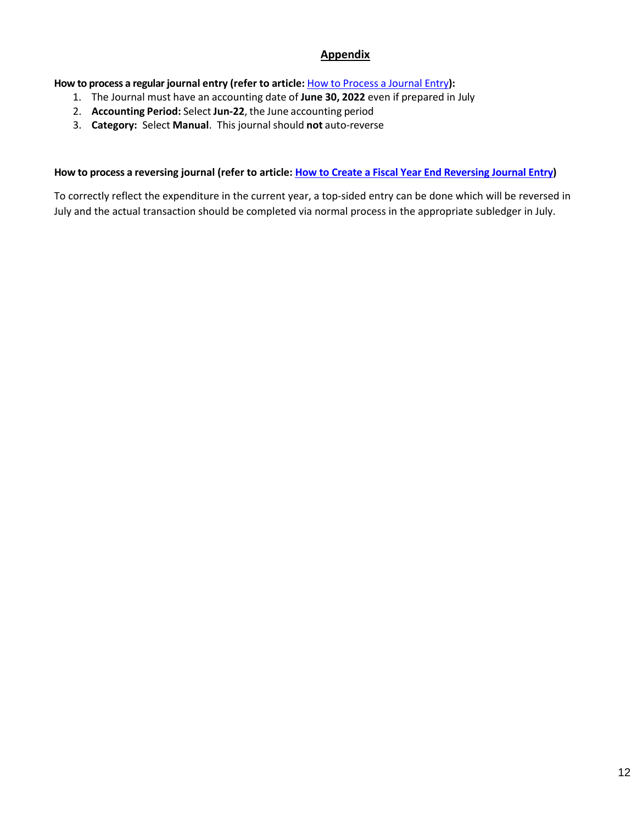## **Appendix**

<span id="page-11-0"></span>**How to process a regular journal entry (refer to article:** How to [Process](https://support.ucsd.edu/finance?id=kb_article_view&sys_kb_id=84aea0dd87114950947a0fa8cebb3569) a Journal Entry**):**

- 1. The Journal must have an accounting date of **June 30, 2022** even if prepared in July
- 2. **Accounting Period:** Select **Jun-22**, the June accounting period
- 3. **Category:** Select **Manual**. This journal should **not** auto-reverse

#### **How to process a reversing journal (refer to article: [How to Create a Fiscal Year End Reversing Journal Entry\)](https://support.ucsd.edu/finance?id=kb_article_view&sys_kb_id=e29160ea1b340114b8d255b5604bcbb5)**

To correctly reflect the expenditure in the current year, a top-sided entry can be done which will be reversed in July and the actual transaction should be completed via normal process in the appropriate subledger in July.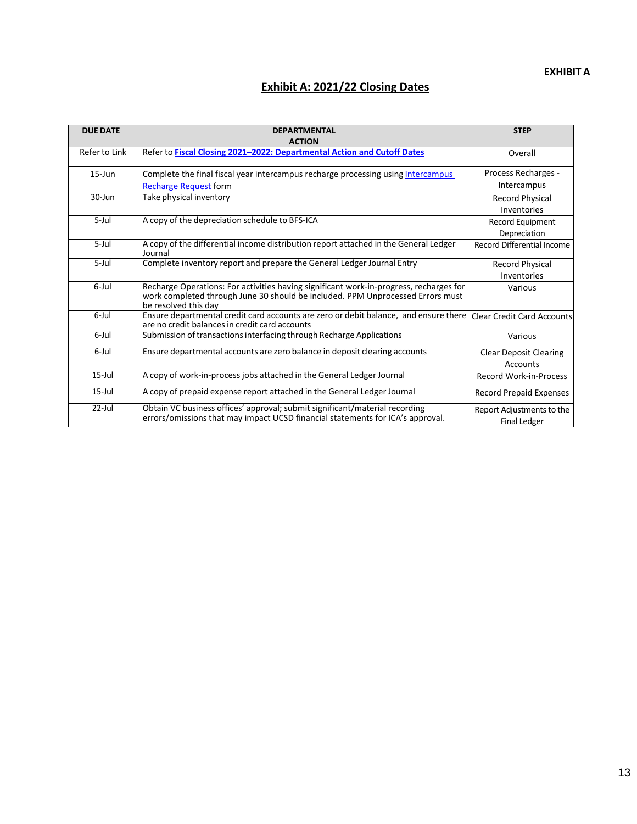#### **EXHIBIT A**

## **Exhibit A: 2021/22 Closing Dates**

<span id="page-12-0"></span>

| <b>DUE DATE</b> | <b>DEPARTMENTAL</b><br><b>ACTION</b>                                                                                                                                                             | <b>STEP</b>                                      |
|-----------------|--------------------------------------------------------------------------------------------------------------------------------------------------------------------------------------------------|--------------------------------------------------|
| Refer to Link   | Refer to Fiscal Closing 2021-2022: Departmental Action and Cutoff Dates                                                                                                                          | Overall                                          |
| $15$ -Jun       | Complete the final fiscal year intercampus recharge processing using Intercampus                                                                                                                 | Process Recharges -                              |
|                 | <b>Recharge Request form</b>                                                                                                                                                                     | Intercampus                                      |
| $30 - Jun$      | Take physical inventory                                                                                                                                                                          | <b>Record Physical</b>                           |
|                 |                                                                                                                                                                                                  | Inventories                                      |
| $5$ -Jul        | A copy of the depreciation schedule to BFS-ICA                                                                                                                                                   | Record Equipment                                 |
|                 |                                                                                                                                                                                                  | Depreciation                                     |
| $5$ -Jul        | A copy of the differential income distribution report attached in the General Ledger<br>Journal                                                                                                  | Record Differential Income                       |
| 5-Jul           | Complete inventory report and prepare the General Ledger Journal Entry                                                                                                                           | <b>Record Physical</b>                           |
|                 |                                                                                                                                                                                                  | Inventories                                      |
| 6-Jul           | Recharge Operations: For activities having significant work-in-progress, recharges for<br>work completed through June 30 should be included. PPM Unprocessed Errors must<br>be resolved this day | Various                                          |
| 6-Jul           | Ensure departmental credit card accounts are zero or debit balance, and ensure there<br>are no credit balances in credit card accounts                                                           | Clear Credit Card Accounts                       |
| 6-Jul           | Submission of transactions interfacing through Recharge Applications                                                                                                                             | Various                                          |
| 6-Jul           | Ensure departmental accounts are zero balance in deposit clearing accounts                                                                                                                       | <b>Clear Deposit Clearing</b>                    |
|                 |                                                                                                                                                                                                  | Accounts                                         |
| $15$ -Jul       | A copy of work-in-process jobs attached in the General Ledger Journal                                                                                                                            | <b>Record Work-in-Process</b>                    |
| $15$ -Jul       | A copy of prepaid expense report attached in the General Ledger Journal                                                                                                                          | <b>Record Prepaid Expenses</b>                   |
| $22$ -Jul       | Obtain VC business offices' approval; submit significant/material recording<br>errors/omissions that may impact UCSD financial statements for ICA's approval.                                    | Report Adjustments to the<br><b>Final Ledger</b> |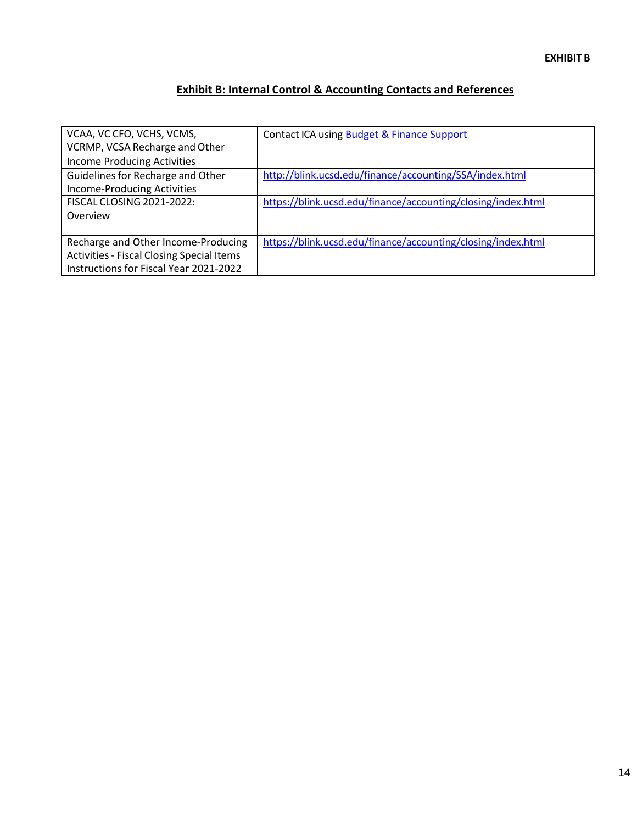## **Exhibit B: Internal Control & Accounting Contacts and References**

<span id="page-13-0"></span>

| VCAA, VC CFO, VCHS, VCMS,<br>VCRMP, VCSA Recharge and Other<br><b>Income Producing Activities</b>                                 | Contact ICA using Budget & Finance Support                   |
|-----------------------------------------------------------------------------------------------------------------------------------|--------------------------------------------------------------|
| Guidelines for Recharge and Other<br><b>Income-Producing Activities</b>                                                           | http://blink.ucsd.edu/finance/accounting/SSA/index.html      |
| <b>FISCAL CLOSING 2021-2022:</b><br>Overview                                                                                      | https://blink.ucsd.edu/finance/accounting/closing/index.html |
| Recharge and Other Income-Producing<br><b>Activities - Fiscal Closing Special Items</b><br>Instructions for Fiscal Year 2021-2022 | https://blink.ucsd.edu/finance/accounting/closing/index.html |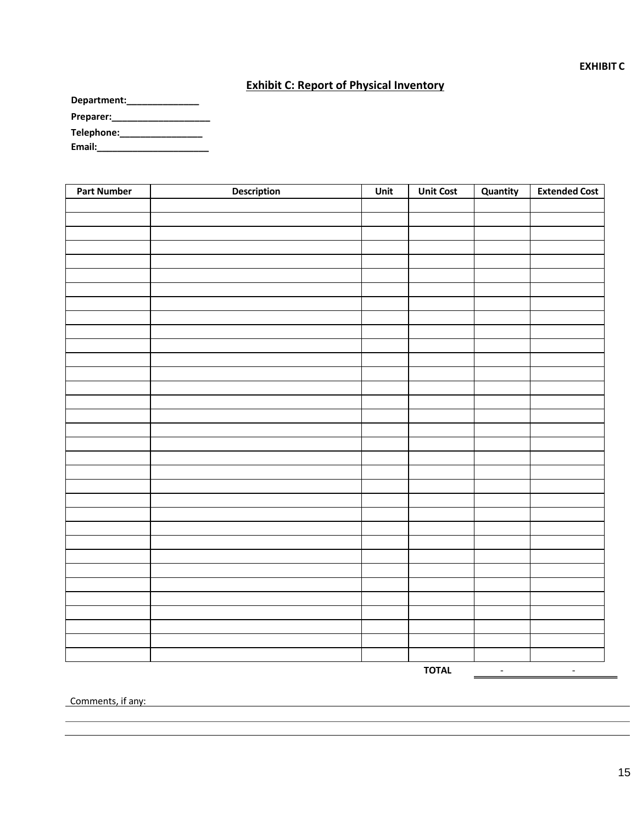#### **Exhibit C: Report of Physical Inventory**

<span id="page-14-0"></span>

| Department: |  |
|-------------|--|
| Preparer:   |  |
| Telephone:  |  |
| Email:      |  |

| <b>Part Number</b> | <b>Description</b> | Unit | <b>Unit Cost</b> | Quantity | <b>Extended Cost</b> |
|--------------------|--------------------|------|------------------|----------|----------------------|
|                    |                    |      |                  |          |                      |
|                    |                    |      |                  |          |                      |
|                    |                    |      |                  |          |                      |
|                    |                    |      |                  |          |                      |
|                    |                    |      |                  |          |                      |
|                    |                    |      |                  |          |                      |
|                    |                    |      |                  |          |                      |
|                    |                    |      |                  |          |                      |
|                    |                    |      |                  |          |                      |
|                    |                    |      |                  |          |                      |
|                    |                    |      |                  |          |                      |
|                    |                    |      |                  |          |                      |
|                    |                    |      |                  |          |                      |
|                    |                    |      |                  |          |                      |
|                    |                    |      |                  |          |                      |
|                    |                    |      |                  |          |                      |
|                    |                    |      |                  |          |                      |
|                    |                    |      |                  |          |                      |
|                    |                    |      |                  |          |                      |
|                    |                    |      |                  |          |                      |
|                    |                    |      |                  |          |                      |
|                    |                    |      |                  |          |                      |
|                    |                    |      |                  |          |                      |
|                    |                    |      |                  |          |                      |
|                    |                    |      |                  |          |                      |
|                    |                    |      |                  |          |                      |
|                    |                    |      |                  |          |                      |
|                    |                    |      |                  |          |                      |
|                    |                    |      |                  |          |                      |
|                    |                    |      |                  |          |                      |
|                    |                    |      |                  |          |                      |
|                    |                    |      |                  |          |                      |
|                    |                    |      |                  |          |                      |

**TOTAL**  $\begin{array}{|c|c|c|c|c|}\n\hline\n\text{---}\n\hline\n\text{---}\n\hline\n\text{---}\n\hline\n\text{---}\n\hline\n\text{---}\n\hline\n\text{---}\n\hline\n\text{---}\n\hline\n\text{---}\n\hline\n\text{---}\n\hline\n\text{---}\n\hline\n\text{---}\n\hline\n\text{---}\n\hline\n\text{---}\n\hline\n\text{---}\n\hline\n\text{---}\n\hline\n\text{---}\n\hline\n\text{---}\n\hline\n\text{---}\n\hline\n\text{---}\n\hline\n\$ 

Comments, if any: example and the comments of a state of the comments of a state of the comments of a state of the comments of the comments of the comments of the comments of the comments of the comments of the comments of